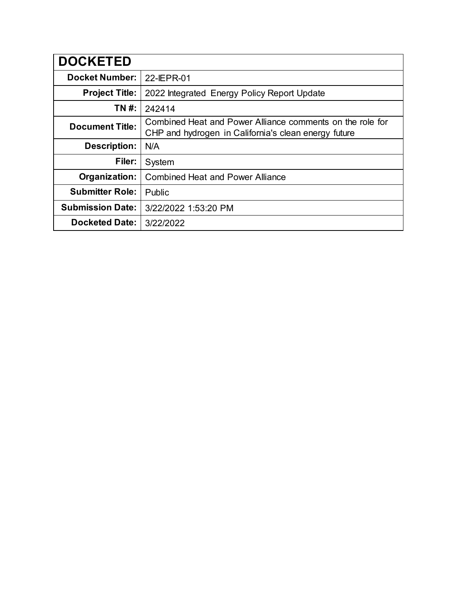| <b>DOCKETED</b>         |                                                                                                                   |  |  |
|-------------------------|-------------------------------------------------------------------------------------------------------------------|--|--|
| <b>Docket Number:</b>   | 22-IEPR-01                                                                                                        |  |  |
| <b>Project Title:</b>   | 2022 Integrated Energy Policy Report Update                                                                       |  |  |
| TN #:                   | 242414                                                                                                            |  |  |
| <b>Document Title:</b>  | Combined Heat and Power Alliance comments on the role for<br>CHP and hydrogen in California's clean energy future |  |  |
| <b>Description:</b>     | N/A                                                                                                               |  |  |
| Filer:                  | System                                                                                                            |  |  |
| Organization:           | <b>Combined Heat and Power Alliance</b>                                                                           |  |  |
| <b>Submitter Role:</b>  | Public                                                                                                            |  |  |
| <b>Submission Date:</b> | 3/22/2022 1:53:20 PM                                                                                              |  |  |
| <b>Docketed Date:</b>   | 3/22/2022                                                                                                         |  |  |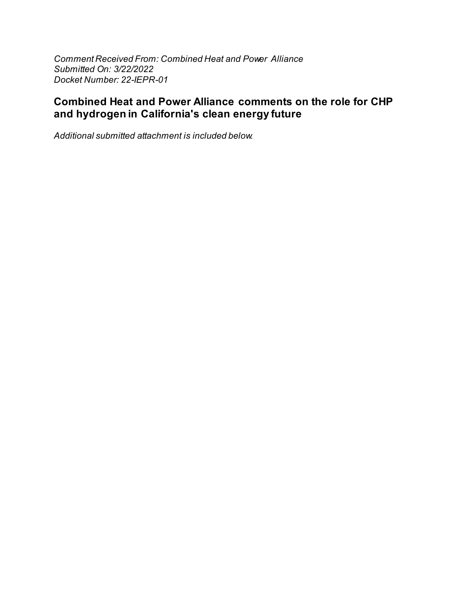Comment Received From: Combined Heat and Power Alliance Submitted On: 3/22/2022 Docket Number: 22-IEPR-01

# **Combined Heat and Power Alliance comments on the role for CHP** and hydrogen in California's clean energy future

Additional submitted attachment is included below.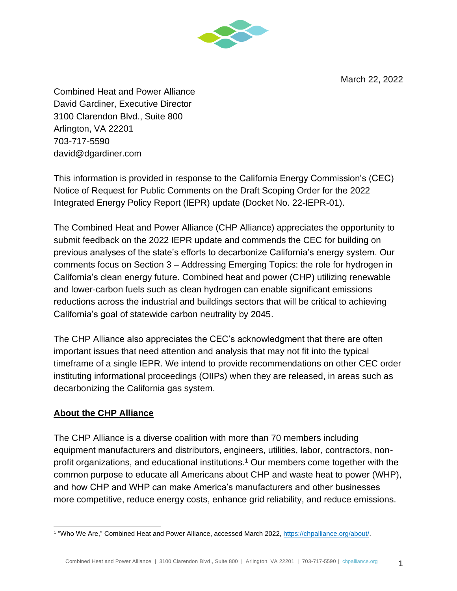March 22, 2022



Combined Heat and Power Alliance David Gardiner, Executive Director 3100 Clarendon Blvd., Suite 800 Arlington, VA 22201 703-717-5590 david@dgardiner.com

This information is provided in response to the California Energy Commission's (CEC) Notice of Request for Public Comments on the Draft Scoping Order for the 2022 Integrated Energy Policy Report (IEPR) update (Docket No. 22-IEPR-01).

The Combined Heat and Power Alliance (CHP Alliance) appreciates the opportunity to submit feedback on the 2022 IEPR update and commends the CEC for building on previous analyses of the state's efforts to decarbonize California's energy system. Our comments focus on Section 3 – Addressing Emerging Topics: the role for hydrogen in California's clean energy future. Combined heat and power (CHP) utilizing renewable and lower-carbon fuels such as clean hydrogen can enable significant emissions reductions across the industrial and buildings sectors that will be critical to achieving California's goal of statewide carbon neutrality by 2045.

The CHP Alliance also appreciates the CEC's acknowledgment that there are often important issues that need attention and analysis that may not fit into the typical timeframe of a single IEPR. We intend to provide recommendations on other CEC order instituting informational proceedings (OIIPs) when they are released, in areas such as decarbonizing the California gas system.

#### **About the CHP Alliance**

The CHP Alliance is a diverse coalition with more than 70 members including equipment manufacturers and distributors, engineers, utilities, labor, contractors, nonprofit organizations, and educational institutions.<sup>1</sup> Our members come together with the common purpose to educate all Americans about CHP and waste heat to power (WHP), and how CHP and WHP can make America's manufacturers and other businesses more competitive, reduce energy costs, enhance grid reliability, and reduce emissions.

<sup>&</sup>lt;sup>1</sup> "Who We Are," Combined Heat and Power Alliance, accessed March 2022, [https://chpalliance.org/about/.](https://chpalliance.org/about/)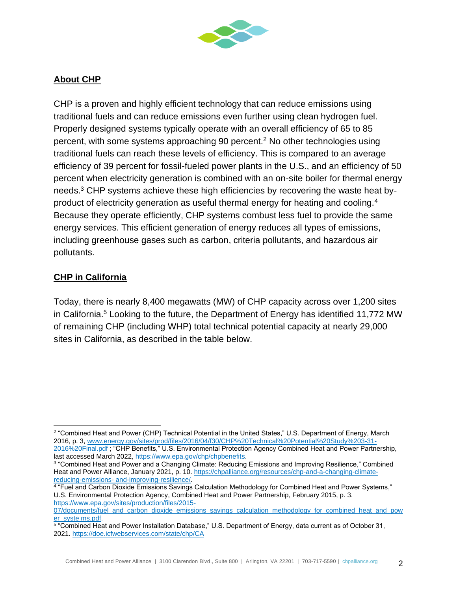

### **About CHP**

CHP is a proven and highly efficient technology that can reduce emissions using traditional fuels and can reduce emissions even further using clean hydrogen fuel. Properly designed systems typically operate with an overall efficiency of 65 to 85 percent, with some systems approaching 90 percent.<sup>2</sup> No other technologies using traditional fuels can reach these levels of efficiency. This is compared to an average efficiency of 39 percent for fossil-fueled power plants in the U.S., and an efficiency of 50 percent when electricity generation is combined with an on-site boiler for thermal energy needs.<sup>3</sup> CHP systems achieve these high efficiencies by recovering the waste heat byproduct of electricity generation as useful thermal energy for heating and cooling.<sup>4</sup> Because they operate efficiently, CHP systems combust less fuel to provide the same energy services. This efficient generation of energy reduces all types of emissions, including greenhouse gases such as carbon, criteria pollutants, and hazardous air pollutants.

#### **CHP in California**

Today, there is nearly 8,400 megawatts (MW) of CHP capacity across over 1,200 sites in California.<sup>5</sup> Looking to the future, the Department of Energy has identified 11,772 MW of remaining CHP (including WHP) total technical potential capacity at nearly 29,000 sites in California, as described in the table below.

<sup>2</sup> "Combined Heat and Power (CHP) Technical Potential in the United States," U.S. Department of Energy, March 2016, p. 3, [www.energy.gov/sites/prod/files/2016/04/f30/CHP%20Technical%20Potential%20Study%203-31-](http://www.energy.gov/sites/prod/files/2016/04/f30/CHP%20Technical%20Potential%20Study%203-31-2016%20Final.pdf) [2016%20Final.pdf](http://www.energy.gov/sites/prod/files/2016/04/f30/CHP%20Technical%20Potential%20Study%203-31-2016%20Final.pdf) ; "CHP Benefits," U.S. Environmental Protection Agency Combined Heat and Power Partnership, last accessed March 2022[, https://www.epa.gov/chp/chpbenefits.](https://www.epa.gov/chp/chpbenefits)

<sup>3</sup> "Combined Heat and Power and a Changing Climate: Reducing Emissions and Improving Resilience," Combined Heat and Power Alliance, January 2021, p. 10. [https://chpalliance.org/resources/chp-and-a-changing-climate](https://chpalliance.org/resources/publications/chp-and-a-changing-climate-reducing-emissions-and-improving-resilience/)reducing-emissions- [and-improving-resilience/.](https://chpalliance.org/resources/publications/chp-and-a-changing-climate-reducing-emissions-and-improving-resilience/)

<sup>4</sup> "Fuel and Carbon Dioxide Emissions Savings Calculation Methodology for Combined Heat and Power Systems," U.S. Environmental Protection Agency, Combined Heat and Power Partnership, February 2015, p. 3. [https://www.epa.gov/sites/production/files/2015-](https://www.epa.gov/sites/default/files/2015-07/documents/fuel_and_carbon_dioxide_emissions_savings_calculation_methodology_for_combined_heat_and_power_systems.pdf)

[<sup>07/</sup>documents/fuel\\_and\\_carbon\\_dioxide\\_emissions\\_savings\\_calculation\\_methodology\\_for\\_combined\\_heat\\_and\\_pow](https://www.epa.gov/sites/default/files/2015-07/documents/fuel_and_carbon_dioxide_emissions_savings_calculation_methodology_for_combined_heat_and_power_systems.pdf) [er\\_syste ms.pdf.](https://www.epa.gov/sites/default/files/2015-07/documents/fuel_and_carbon_dioxide_emissions_savings_calculation_methodology_for_combined_heat_and_power_systems.pdf)

<sup>&</sup>lt;sup>5</sup> "Combined Heat and Power Installation Database," U.S. Department of Energy, data current as of October 31, 2021.<https://doe.icfwebservices.com/state/chp/CA>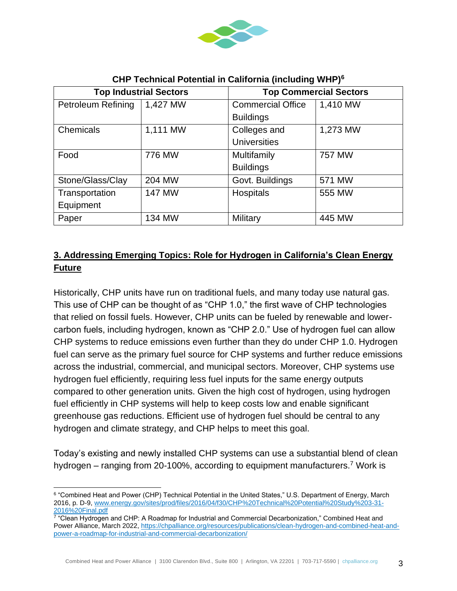

| <b>Top Industrial Sectors</b> |               | <b>Top Commercial Sectors</b> |          |
|-------------------------------|---------------|-------------------------------|----------|
| <b>Petroleum Refining</b>     | 1,427 MW      | <b>Commercial Office</b>      | 1,410 MW |
|                               |               | <b>Buildings</b>              |          |
| Chemicals                     | 1,111 MW      | Colleges and                  | 1,273 MW |
|                               |               | <b>Universities</b>           |          |
| Food                          | 776 MW        | Multifamily                   | 757 MW   |
|                               |               | <b>Buildings</b>              |          |
| Stone/Glass/Clay              | 204 MW        | Govt. Buildings               | 571 MW   |
| Transportation                | <b>147 MW</b> | Hospitals                     | 555 MW   |
| Equipment                     |               |                               |          |
| Paper                         | 134 MW        | Military                      | 445 MW   |

#### **CHP Technical Potential in California (including WHP)<sup>6</sup>**

## **3. Addressing Emerging Topics: Role for Hydrogen in California's Clean Energy Future**

Historically, CHP units have run on traditional fuels, and many today use natural gas. This use of CHP can be thought of as "CHP 1.0," the first wave of CHP technologies that relied on fossil fuels. However, CHP units can be fueled by renewable and lowercarbon fuels, including hydrogen, known as "CHP 2.0." Use of hydrogen fuel can allow CHP systems to reduce emissions even further than they do under CHP 1.0. Hydrogen fuel can serve as the primary fuel source for CHP systems and further reduce emissions across the industrial, commercial, and municipal sectors. Moreover, CHP systems use hydrogen fuel efficiently, requiring less fuel inputs for the same energy outputs compared to other generation units. Given the high cost of hydrogen, using hydrogen fuel efficiently in CHP systems will help to keep costs low and enable significant greenhouse gas reductions. Efficient use of hydrogen fuel should be central to any hydrogen and climate strategy, and CHP helps to meet this goal.

Today's existing and newly installed CHP systems can use a substantial blend of clean hydrogen – ranging from 20-100%, according to equipment manufacturers.<sup>7</sup> Work is

 $^6$  "Combined Heat and Power (CHP) Technical Potential in the United States," U.S. Department of Energy, March 2016, p. D-9[, www.energy.gov/sites/prod/files/2016/04/f30/CHP%20Technical%20Potential%20Study%203-31-](http://www.energy.gov/sites/prod/files/2016/04/f30/CHP%20Technical%20Potential%20Study%203-31-2016%20Final.pdf) [2016%20Final.pdf](http://www.energy.gov/sites/prod/files/2016/04/f30/CHP%20Technical%20Potential%20Study%203-31-2016%20Final.pdf)

<sup>7</sup> "Clean Hydrogen and CHP: A Roadmap for Industrial and Commercial Decarbonization," Combined Heat and Power Alliance, March 2022, [https://chpalliance.org/resources/publications/clean-hydrogen-and-combined-heat-and](https://chpalliance.org/resources/publications/clean-hydrogen-and-combined-heat-and-power-a-roadmap-for-industrial-and-commercial-decarbonization/)[power-a-roadmap-for-industrial-and-commercial-decarbonization/](https://chpalliance.org/resources/publications/clean-hydrogen-and-combined-heat-and-power-a-roadmap-for-industrial-and-commercial-decarbonization/)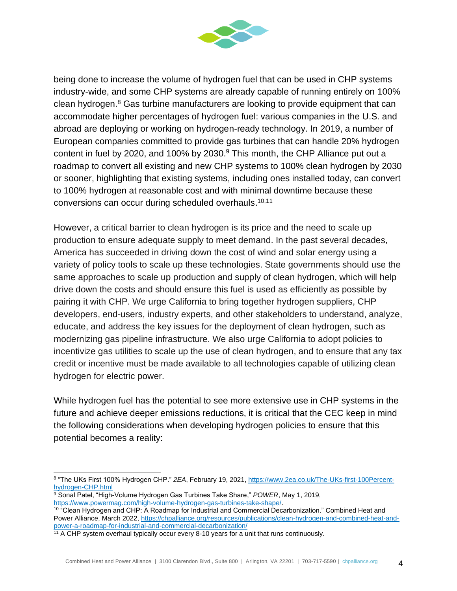

being done to increase the volume of hydrogen fuel that can be used in CHP systems industry-wide, and some CHP systems are already capable of running entirely on 100% clean hydrogen. $8$  Gas turbine manufacturers are looking to provide equipment that can accommodate higher percentages of hydrogen fuel: various companies in the U.S. and abroad are deploying or working on hydrogen-ready technology. In 2019, a number of European companies committed to provide gas turbines that can handle 20% hydrogen content in fuel by 2020, and 100% by 2030.<sup>9</sup> This month, the CHP Alliance put out a roadmap to convert all existing and new CHP systems to 100% clean hydrogen by 2030 or sooner, highlighting that existing systems, including ones installed today, can convert to 100% hydrogen at reasonable cost and with minimal downtime because these conversions can occur during scheduled overhauls. 10,11

However, a critical barrier to clean hydrogen is its price and the need to scale up production to ensure adequate supply to meet demand. In the past several decades, America has succeeded in driving down the cost of wind and solar energy using a variety of policy tools to scale up these technologies. State governments should use the same approaches to scale up production and supply of clean hydrogen, which will help drive down the costs and should ensure this fuel is used as efficiently as possible by pairing it with CHP. We urge California to bring together hydrogen suppliers, CHP developers, end-users, industry experts, and other stakeholders to understand, analyze, educate, and address the key issues for the deployment of clean hydrogen, such as modernizing gas pipeline infrastructure. We also urge California to adopt policies to incentivize gas utilities to scale up the use of clean hydrogen, and to ensure that any tax credit or incentive must be made available to all technologies capable of utilizing clean hydrogen for electric power.

While hydrogen fuel has the potential to see more extensive use in CHP systems in the future and achieve deeper emissions reductions, it is critical that the CEC keep in mind the following considerations when developing hydrogen policies to ensure that this potential becomes a reality:

<sup>8</sup> "The UKs First 100% Hydrogen CHP." *2EA*, February 19, 2021, [https://www.2ea.co.uk/The-UKs-first-100Percent](https://www.2ea.co.uk/The-UKs-first-100Percent-hydrogen-CHP.html)[hydrogen-CHP.html](https://www.2ea.co.uk/The-UKs-first-100Percent-hydrogen-CHP.html)

<sup>9</sup> Sonal Patel, "High-Volume Hydrogen Gas Turbines Take Share," *POWER*, May 1, 2019, [https://www.powermag.com/high-volume-hydrogen-gas-turbines-take-shape/.](https://www.powermag.com/high-volume-hydrogen-gas-turbines-take-shape/)

<sup>&</sup>lt;sup>10</sup> "Clean Hydrogen and CHP: A Roadmap for Industrial and Commercial Decarbonization." Combined Heat and Power Alliance, March 2022, [https://chpalliance.org/resources/publications/clean-hydrogen-and-combined-heat-and](https://chpalliance.org/resources/publications/clean-hydrogen-and-combined-heat-and-power-a-roadmap-for-industrial-and-commercial-decarbonization/)[power-a-roadmap-for-industrial-and-commercial-decarbonization/](https://chpalliance.org/resources/publications/clean-hydrogen-and-combined-heat-and-power-a-roadmap-for-industrial-and-commercial-decarbonization/)

<sup>&</sup>lt;sup>11</sup> A CHP system overhaul typically occur every 8-10 years for a unit that runs continuously.